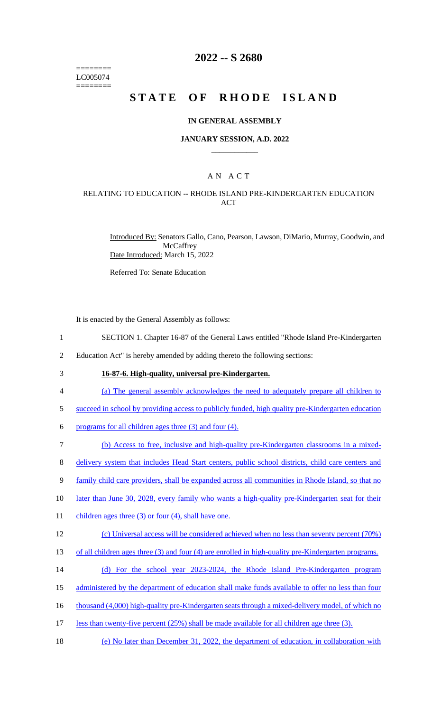======== LC005074 ========

## **2022 -- S 2680**

# **STATE OF RHODE ISLAND**

### **IN GENERAL ASSEMBLY**

### **JANUARY SESSION, A.D. 2022 \_\_\_\_\_\_\_\_\_\_\_\_**

## A N A C T

### RELATING TO EDUCATION -- RHODE ISLAND PRE-KINDERGARTEN EDUCATION ACT

Introduced By: Senators Gallo, Cano, Pearson, Lawson, DiMario, Murray, Goodwin, and **McCaffrey** Date Introduced: March 15, 2022

Referred To: Senate Education

It is enacted by the General Assembly as follows:

- 1 SECTION 1. Chapter 16-87 of the General Laws entitled "Rhode Island Pre-Kindergarten
- 2 Education Act" is hereby amended by adding thereto the following sections:
- 

## 3 **16-87-6. High-quality, universal pre-Kindergarten.**

- 4 (a) The general assembly acknowledges the need to adequately prepare all children to
- 5 succeed in school by providing access to publicly funded, high quality pre-Kindergarten education
- 6 programs for all children ages three  $(3)$  and four  $(4)$ .
- 7 (b) Access to free, inclusive and high-quality pre-Kindergarten classrooms in a mixed-
- 8 delivery system that includes Head Start centers, public school districts, child care centers and
- 9 family child care providers, shall be expanded across all communities in Rhode Island, so that no
- 10 later than June 30, 2028, every family who wants a high-quality pre-Kindergarten seat for their
- 11 children ages three (3) or four (4), shall have one.

#### 12 (c) Universal access will be considered achieved when no less than seventy percent (70%)

- 13 of all children ages three (3) and four (4) are enrolled in high-quality pre-Kindergarten programs.
- 14 (d) For the school year 2023-2024, the Rhode Island Pre-Kindergarten program
- 15 administered by the department of education shall make funds available to offer no less than four
- 16 thousand (4,000) high-quality pre-Kindergarten seats through a mixed-delivery model, of which no
- 17 less than twenty-five percent (25%) shall be made available for all children age three (3).
- 18 (e) No later than December 31, 2022, the department of education, in collaboration with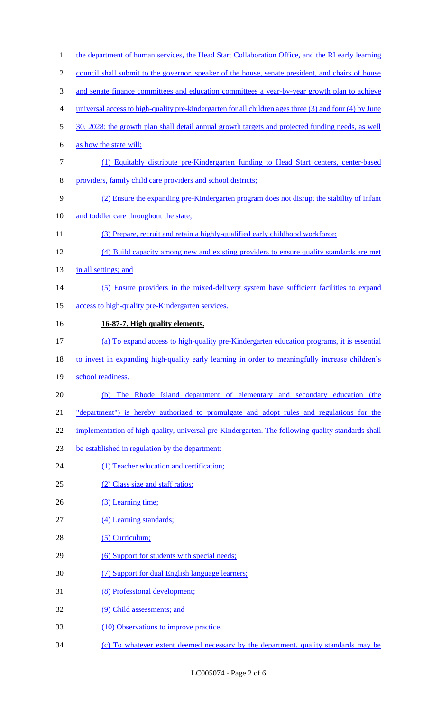| $\mathbf{1}$   | the department of human services, the Head Start Collaboration Office, and the RI early learning       |
|----------------|--------------------------------------------------------------------------------------------------------|
| $\overline{2}$ | council shall submit to the governor, speaker of the house, senate president, and chairs of house      |
| 3              | and senate finance committees and education committees a year-by-year growth plan to achieve           |
| $\overline{4}$ | universal access to high-quality pre-kindergarten for all children ages three (3) and four (4) by June |
| 5              | 30, 2028; the growth plan shall detail annual growth targets and projected funding needs, as well      |
| 6              | as how the state will:                                                                                 |
| $\tau$         | (1) Equitably distribute pre-Kindergarten funding to Head Start centers, center-based                  |
| $8\,$          | providers, family child care providers and school districts;                                           |
| 9              | (2) Ensure the expanding pre-Kindergarten program does not disrupt the stability of infant             |
| 10             | and toddler care throughout the state;                                                                 |
| 11             | (3) Prepare, recruit and retain a highly-qualified early childhood workforce;                          |
| 12             | (4) Build capacity among new and existing providers to ensure quality standards are met                |
| 13             | in all settings; and                                                                                   |
| 14             | (5) Ensure providers in the mixed-delivery system have sufficient facilities to expand                 |
| 15             | access to high-quality pre-Kindergarten services.                                                      |
| 16             | 16-87-7. High quality elements.                                                                        |
| 17             | (a) To expand access to high-quality pre-Kindergarten education programs, it is essential              |
| 18             | to invest in expanding high-quality early learning in order to meaningfully increase children's        |
| 19             | school readiness.                                                                                      |
| 20             | (b) The Rhode Island department of elementary and secondary education (the                             |
| 21             | "department") is hereby authorized to promulgate and adopt rules and regulations for the               |
| 22             | implementation of high quality, universal pre-Kindergarten. The following quality standards shall      |
| 23             | be established in regulation by the department:                                                        |
| 24             | (1) Teacher education and certification;                                                               |
| 25             | (2) Class size and staff ratios;                                                                       |
| 26             | (3) Learning time;                                                                                     |
| 27             | (4) Learning standards;                                                                                |
| 28             | (5) Curriculum;                                                                                        |
| 29             | (6) Support for students with special needs;                                                           |
| 30             | (7) Support for dual English language learners;                                                        |
| 31             | (8) Professional development;                                                                          |
| 32             | (9) Child assessments; and                                                                             |
| 33             | (10) Observations to improve practice.                                                                 |
| 34             | (c) To whatever extent deemed necessary by the department, quality standards may be                    |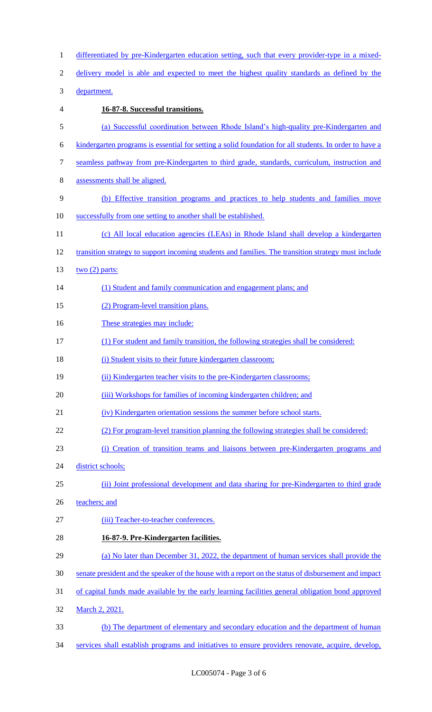| $\mathbf{1}$     | differentiated by pre-Kindergarten education setting, such that every provider-type in a mixed-        |
|------------------|--------------------------------------------------------------------------------------------------------|
| $\mathbf{2}$     | delivery model is able and expected to meet the highest quality standards as defined by the            |
| $\mathfrak{Z}$   | department.                                                                                            |
| $\overline{4}$   | 16-87-8. Successful transitions.                                                                       |
| $\mathfrak s$    | (a) Successful coordination between Rhode Island's high-quality pre-Kindergarten and                   |
| 6                | kindergarten programs is essential for setting a solid foundation for all students. In order to have a |
| $\boldsymbol{7}$ | seamless pathway from pre-Kindergarten to third grade, standards, curriculum, instruction and          |
| $8\,$            | assessments shall be aligned.                                                                          |
| 9                | (b) Effective transition programs and practices to help students and families move                     |
| 10               | successfully from one setting to another shall be established.                                         |
| 11               | (c) All local education agencies (LEAs) in Rhode Island shall develop a kindergarten                   |
| 12               | transition strategy to support incoming students and families. The transition strategy must include    |
| 13               | two $(2)$ parts:                                                                                       |
| 14               | (1) Student and family communication and engagement plans; and                                         |
| 15               | (2) Program-level transition plans.                                                                    |
| 16               | These strategies may include:                                                                          |
| 17               | (1) For student and family transition, the following strategies shall be considered:                   |
| 18               | (i) Student visits to their future kindergarten classroom;                                             |
| 19               | (ii) Kindergarten teacher visits to the pre-Kindergarten classrooms;                                   |
| 20               | (iii) Workshops for families of incoming kindergarten children; and                                    |
| 21               | (iv) Kindergarten orientation sessions the summer before school starts.                                |
| 22               | (2) For program-level transition planning the following strategies shall be considered:                |
| 23               | (i) Creation of transition teams and liaisons between pre-Kindergarten programs and                    |
| 24               | district schools;                                                                                      |
| 25               | (ii) Joint professional development and data sharing for pre-Kindergarten to third grade               |
| 26               | teachers; and                                                                                          |
| 27               | (iii) Teacher-to-teacher conferences.                                                                  |
| 28               | 16-87-9. Pre-Kindergarten facilities.                                                                  |
| 29               | (a) No later than December 31, 2022, the department of human services shall provide the                |
| 30               | senate president and the speaker of the house with a report on the status of disbursement and impact   |
| 31               | of capital funds made available by the early learning facilities general obligation bond approved      |
| 32               | March 2, 2021.                                                                                         |
| 33               | (b) The department of elementary and secondary education and the department of human                   |
| 34               | services shall establish programs and initiatives to ensure providers renovate, acquire, develop,      |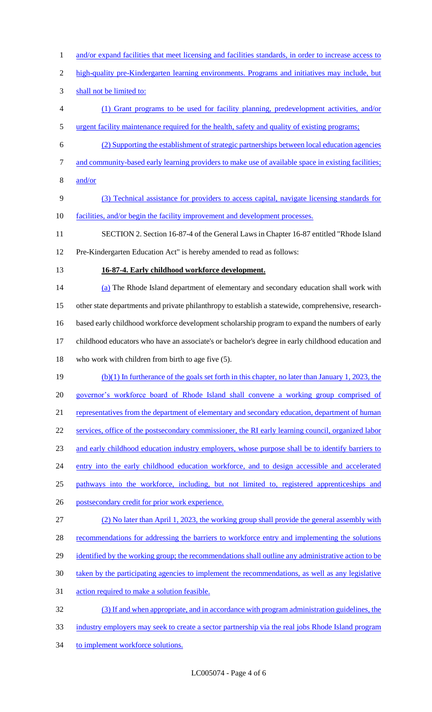- 1 and/or expand facilities that meet licensing and facilities standards, in order to increase access to
- high-quality pre-Kindergarten learning environments. Programs and initiatives may include, but
- shall not be limited to:
- (1) Grant programs to be used for facility planning, predevelopment activities, and/or urgent facility maintenance required for the health, safety and quality of existing programs;
- (2) Supporting the establishment of strategic partnerships between local education agencies
- and community-based early learning providers to make use of available space in existing facilities;
- and/or
- (3) Technical assistance for providers to access capital, navigate licensing standards for facilities, and/or begin the facility improvement and development processes.
- SECTION 2. Section 16-87-4 of the General Laws in Chapter 16-87 entitled "Rhode Island Pre-Kindergarten Education Act" is hereby amended to read as follows:
- 
- **16-87-4. Early childhood workforce development.**
- (a) The Rhode Island department of elementary and secondary education shall work with other state departments and private philanthropy to establish a statewide, comprehensive, research- based early childhood workforce development scholarship program to expand the numbers of early childhood educators who have an associate's or bachelor's degree in early childhood education and who work with children from birth to age five (5). (b)(1) In furtherance of the goals set forth in this chapter, no later than January 1, 2023, the
- 20 governor's workforce board of Rhode Island shall convene a working group comprised of
- 21 representatives from the department of elementary and secondary education, department of human
- services, office of the postsecondary commissioner, the RI early learning council, organized labor
- and early childhood education industry employers, whose purpose shall be to identify barriers to
- 24 entry into the early childhood education workforce, and to design accessible and accelerated
- pathways into the workforce, including, but not limited to, registered apprenticeships and
- postsecondary credit for prior work experience.
- (2) No later than April 1, 2023, the working group shall provide the general assembly with
- 28 recommendations for addressing the barriers to workforce entry and implementing the solutions
- 29 identified by the working group; the recommendations shall outline any administrative action to be
- taken by the participating agencies to implement the recommendations, as well as any legislative
- action required to make a solution feasible.
- (3) If and when appropriate, and in accordance with program administration guidelines, the industry employers may seek to create a sector partnership via the real jobs Rhode Island program
- 34 to implement workforce solutions.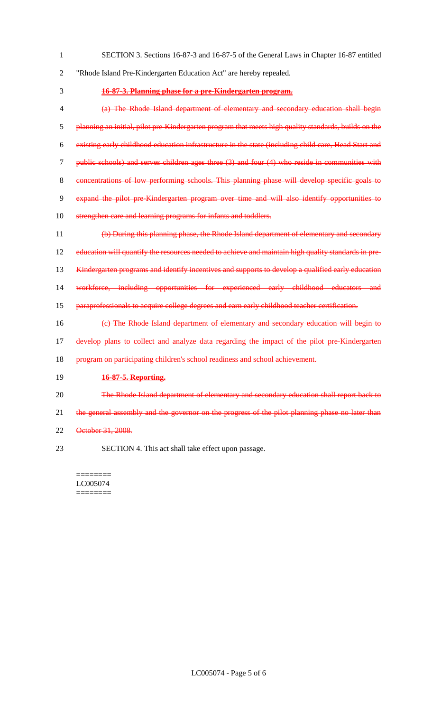- SECTION 3. Sections 16-87-3 and 16-87-5 of the General Laws in Chapter 16-87 entitled "Rhode Island Pre-Kindergarten Education Act" are hereby repealed. **16-87-3. Planning phase for a pre-Kindergarten program.** (a) The Rhode Island department of elementary and secondary education shall begin planning an initial, pilot pre-Kindergarten program that meets high quality standards, builds on the existing early childhood education infrastructure in the state (including child care, Head Start and public schools) and serves children ages three (3) and four (4) who reside in communities with concentrations of low performing schools. This planning phase will develop specific goals to
- expand the pilot pre-Kindergarten program over time and will also identify opportunities to
- 10 strengthen care and learning programs for infants and toddlers.
- (b) During this planning phase, the Rhode Island department of elementary and secondary education will quantify the resources needed to achieve and maintain high quality standards in pre-13 Kindergarten programs and identify incentives and supports to develop a qualified early education workforce, including opportunities for experienced early childhood educators and paraprofessionals to acquire college degrees and earn early childhood teacher certification. (c) The Rhode Island department of elementary and secondary education will begin to develop plans to collect and analyze data regarding the impact of the pilot pre-Kindergarten 18 program on participating children's school readiness and school achievement. **16-87-5. Reporting.** 20 The Rhode Island department of elementary and secondary education shall report back to
- 21 the general assembly and the governor on the progress of the pilot planning phase no later than
- October 31, 2008.
- SECTION 4. This act shall take effect upon passage.

======== LC005074 ========